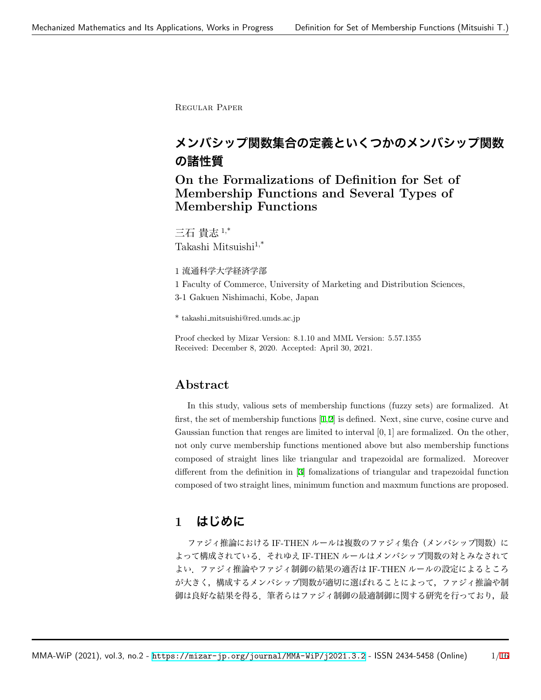Regular Paper

# **メンバシップ関数集合の定義といくつかのメンバシップ関数 の諸性質**

**On the Formalizations of Definition for Set of Membership Functions and Several Types of Membership Functions**

三石 貴志 1,\* Takashi Mitsuishi<sup>1,\*</sup>

1 流通科学大学経済学部

1 Faculty of Commerce, University of Marketing and Distribution Sciences,

3-1 Gakuen Nishimachi, Kobe, Japan

\* takashi mitsuishi@red.umds.ac.jp

Proof checked by Mizar Version: 8.1.10 and MML Version: 5.57.1355 Received: December 8, 2020. Accepted: April 30, 2021.

## **Abstract**

In this study, valious sets of membership functions (fuzzy sets) are formalized. At first, the set of membership functions [[1,](#page-5-0)[2](#page-5-1)] is defined. Next, sine curve, cosine curve and Gaussian function that renges are limited to interval [0*,* 1] are formalized. On the other, not only curve membership functions mentioned above but also membership functions composed of straight lines like triangular and trapezoidal are formalized. Moreover different from the definition in [[3\]](#page-5-2) fomalizations of triangular and trapezoidal function composed of two straight lines, minimum function and maxmum functions are proposed.

## **1 はじめに**

ファジィ推論における IF-THEN ルールは複数のファジィ集合(メンバシップ関数)に よって構成されている.それゆえ IF-THEN ルールはメンバシップ関数の対とみなされて よい.ファジィ推論やファジィ制御の結果の適否は IF-THEN ルールの設定によるところ が大きく,構成するメンバシップ関数が適切に選ばれることによって,ファジィ推論や制 御は良好な結果を得る.筆者らはファジィ制御の最適制御に関する研究を行っており,最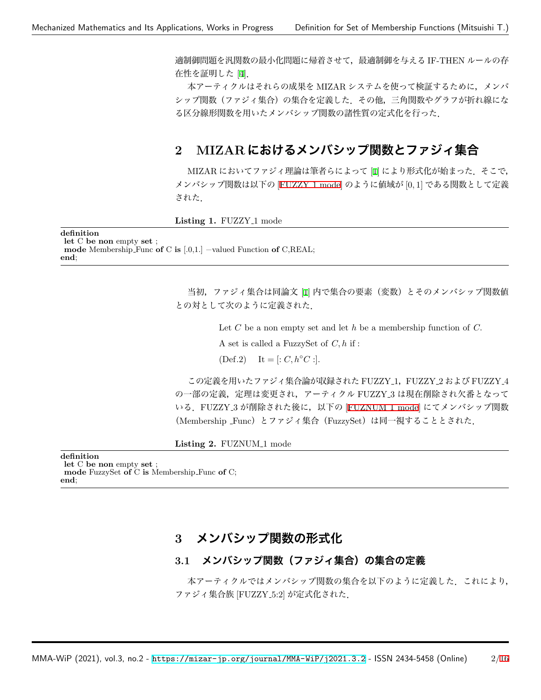適制御問題を汎関数の最小化問題に帰着させて,最適制御を与える IF-THEN ルールの存 在性を証明した [\[4](#page-5-3)].

本アーティクルはそれらの成果を MIZAR システムを使って検証するために,メンバ シップ関数(ファジィ集合)の集合を定義した.その他,三角関数やグラフが折れ線にな る区分線形関数を用いたメンバシップ関数の諸性質の定式化を行った.

## **2 MIZAR におけるメンバシップ関数とファジィ集合**

MIZAR においてファジィ理論は筆者らによって [\[1](#page-5-0)] により形式化が始まった. そこで, メンバシップ関数は以下の [[FUZZY](#page-1-0) 1 mode] のように値域が [0*,* 1] である関数として定義 された.

<span id="page-1-0"></span>**Listing 1. FUZZY<sub>-1</sub> mode** 

#### **definition**

**let** C **be non** empty **set** ; **mode** Membership Func **of** C **is** [.0,1.] −valued Function **of** C,REAL; **end**;

> 当初,ファジィ集合は同論文 [[1\]](#page-5-0) 内で集合の要素(変数)とそのメンバシップ関数値 との対として次のように定義された.

> > Let *C* be a non empty set and let *h* be a membership function of *C.*

A set is called a FuzzySet of *C, h* if :

 $(\text{Def.2}) \quad \text{It} = [: C, h \circ C :].$ 

この定義を用いたファジィ集合論が収録された FUZZY 1,FUZZY 2 および FUZZY 4 の一部の定義,定理は変更され,アーティクル FUZZY 3 は現在削除され欠番となって いる.FUZZY 3 が削除された後に,以下の [[FUZNUM](#page-1-1) 1 mode] にてメンバシップ関数 (Membership Func)とファジィ集合(FuzzySet)は同一視することとされた.

<span id="page-1-1"></span>Listing 2. FUZNUM<sub>-1</sub> mode

**definition let** C **be non** empty **set** ; **mode** FuzzySet **of** C **is** Membership Func **of** C; **end**;

## **3 メンバシップ関数の形式化**

### **3.1 メンバシップ関数(ファジィ集合)の集合の定義**

本アーティクルではメンバシップ関数の集合を以下のように定義した。これにより, ファジィ集合族 [FUZZY 5:2] が定式化された.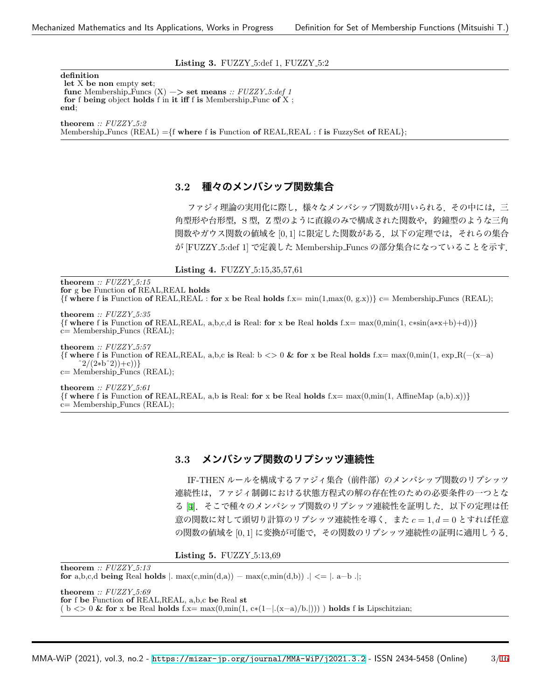#### **Listing 3.** FUZZY<sub>-5</sub>:def 1, FUZZY<sub>-5</sub>:2

**definition let** X **be non** empty **set**; **func** Membership Funcs  $(X) \rightarrow$  **set means** :: FUZZY\_5:def 1 **for** f **being** object **holds** f in **it iff** f **is** Membership Func **of** X ; **end**; **theorem** *:: FUZZY 5:2*

Membership Funcs (REAL) =*{*f **where** f **is** Function **of** REAL,REAL : f **is** FuzzySet **of** REAL*}*;

### **3.2 種々のメンバシップ関数集合**

ファジィ理論の実用化に際し,様々なメンバシップ関数が用いられる.その中には,三 角型形や台形型,S 型,Z 型のように直線のみで構成された関数や,釣鐘型のような三角 関数やガウス関数の値域を [0*,* 1] に限定した関数がある.以下の定理では,それらの集合 が [FUZZY 5:def 1] で定義した Membership Funcs の部分集合になっていることを示す.

**Listing 4. FUZZY\_5:15,35,57,61** 

**theorem** *:: FUZZY 5:15* **for** g **be** Function **of** REAL,REAL **holds**  $\{f$  where f is Function of REAL,REAL : for x be Real holds  $f.x = min(1, max(0, g.x))\}$  c= Membership Funcs (REAL); **theorem** *:: FUZZY 5:35 {*f **where** f **is** Function **of** REAL,REAL, a,b,c,d **is** Real: **for** x **be** Real **holds** f.x= max(0,min(1, c∗sin(a∗x+b)+d))*}* c= Membership Funcs (REAL);

**theorem** *:: FUZZY 5:57 {*f **where** f **is** Function **of** REAL,REAL, a,b,c **is** Real: b *<>* 0 **& for** x **be** Real **holds** f.x= max(0,min(1, exp R(−(x−a) ˆ2/(2∗bˆ2))+c))*}* c= Membership Funcs (REAL);

**theorem** *:: FUZZY 5:61 {*f **where** f **is** Function **of** REAL,REAL, a,b **is** Real: **for** x **be** Real **holds** f.x= max(0,min(1, AffineMap (a,b).x))*}* c= Membership Funcs (REAL);

### **3.3 メンバシップ関数のリプシッツ連続性**

IF-THEN ルールを構成するファジィ集合(前件部)のメンバシップ関数のリプシッツ 連続性は,ファジィ制御における状態方程式の解の存在性のための必要条件の一つとな る [[4\]](#page-5-3). そこで種々のメンバシップ関数のリプシッツ連続性を証明した. 以下の定理は任 意の関数に対して頭切り計算のリプシッツ連続性を導く.また *c* = 1*, d* = 0 とすれば任意 の関数の値域を [0*,* 1] に変換が可能で,その関数のリプシッツ連続性の証明に適用しうる.

**Listing 5.** FUZZY<sub>-5:13,69</sub>

**theorem** *:: FUZZY 5:13* **for** a,b,c,d **being** Real **holds**  $|$ . max $(c, min(d,a)) - max(c, min(d,b))$ .  $| \leq |$ . a-b .|; **theorem** *:: FUZZY 5:69* **for** f **be** Function **of** REAL,REAL, a,b,c **be** Real **st** ( b *<>* 0 **& for** x **be** Real **holds** f.x= max(0,min(1, c∗(1−*|*.(x−a)/b.*|*))) ) **holds** f **is** Lipschitzian;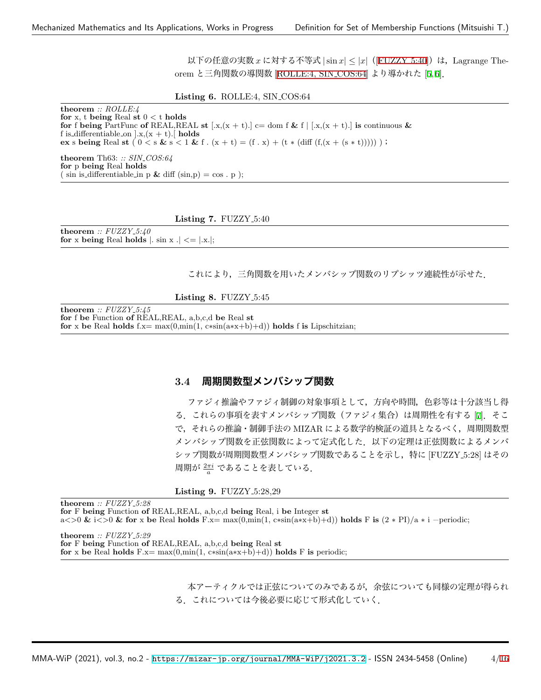以下の任意の実数 *x* に対する不等式 *|*sin *x| ≤ |x|*([\[FUZZY](#page-3-0) 5:40])は,Lagrange Theorem と三角関数の導関数 [\[ROLLE:4, SIN](#page-3-1) COS:64] より導かれた [\[5](#page-5-4), [6\]](#page-5-5).

#### <span id="page-3-1"></span>**Listing 6.** ROLLE:4, SIN COS:64

**theorem** *:: ROLLE:4* **for** x, t **being** Real **st** 0 *<* t **holds for** f **being** PartFunc **of** REAL,REAL **st**  $[x,(x + t).]$  c= dom f & f  $| [x,(x + t).]$  **is** continuous & f is differentiable on  $\vert x,(x + t)\vert$  holds **ex** s **being** Real **st**  $(0 < s \& s < 1 \& f \cdot (x + t) = (f \cdot x) + (t * (\text{diff } (f(x + (s * t)))))));$ 

**theorem** Th63: *:: SIN COS:64* **for** p **being** Real **holds**  $(\sin \mathrm{is} \cdot \mathrm{differentiable} \cdot \mathrm{in} \cdot p \& \mathrm{diff} (\sin, p) = \cos \cdot p$ ;

#### <span id="page-3-0"></span>**Listing 7. FUZZY\_5:40**

**theorem** *:: FUZZY 5:40* **for** x being Real holds  $|$ . sin x  $| \le |$ .x. $|$ ;

これにより,三角関数を用いたメンバシップ関数のリプシッツ連続性が示せた.

**Listing 8. FUZZY\_5:45** 

**theorem** *:: FUZZY 5:45* **for** f **be** Function **of** REAL,REAL, a,b,c,d **be** Real **st for** x **be** Real **holds** f.x= max(0,min(1, c∗sin(a∗x+b)+d)) **holds** f **is** Lipschitzian;

### **3.4 周期関数型メンバシップ関数**

ファジィ推論やファジィ制御の対象事項として,方向や時間,色彩等は十分該当し得 る.これらの事項を表すメンバシップ関数(ファジィ集合)は周期性を有する [[7](#page-5-6)].そこ で,それらの推論・制御手法の MIZAR による数学的検証の道具となるべく,周期関数型 メンバシップ関数を正弦関数によって定式化した.以下の定理は正弦関数によるメンバ シップ関数が周期関数型メンバシップ関数であることを示し,特に [FUZZY 5:28] はその 周期が <sup>2</sup>*πi <sup>a</sup>* であることを表している.

#### **Listing 9.** FUZZY<sub>-5:28,29</sub>

**theorem** *:: FUZZY 5:28* **for** F **being** Function **of** REAL,REAL, a,b,c,d **being** Real, i **be** Integer **st** a*<>*0 **&** i*<>*0 **& for** x **be** Real **holds** F.x= max(0,min(1, c∗sin(a∗x+b)+d)) **holds** F **is** (2 ∗ PI)/a ∗ i −periodic;

**theorem** *:: FUZZY 5:29* **for** F **being** Function **of** REAL,REAL, a,b,c,d **being** Real **st for** x **be** Real **holds** F.x= max(0,min(1, c∗sin(a∗x+b)+d)) **holds** F **is** periodic;

> 本アーティクルでは正弦についてのみであるが,余弦についても同様の定理が得られ る.これについては今後必要に応じて形式化していく.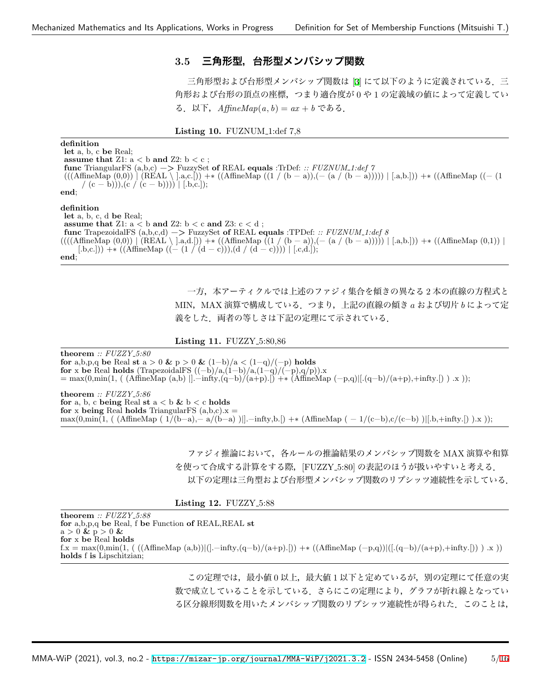### **3.5 三角形型,台形型メンバシップ関数**

三角形型および台形型メンバシップ関数は [[3\]](#page-5-2) にて以下のように定義されている. 三 角形および台形の頂点の座標,つまり適合度が 0 や 1 の定義域の値によって定義してい る.以下,*AffineMap*(*a, b*) = *ax* + *b* である.

**Listing 10.** FUZNUM<sub>-1:def 7,8</sub>

**definition let** a, b, c **be** Real; **assume that** Z1: a *<* b **and** Z2: b *<* c ; **func** TriangularFS (a,b,c) −*>* FuzzySet **of** REAL **equals** :TrDef: *:: FUZNUM 1:def 7* (((AffineMap (0,0)) *|* (REAL *\* ].a,c.[)) +∗ ((AffineMap ((1 / (b − a)),(− (a / (b − a))))) *|* [.a,b.])) +∗ ((AffineMap ((− (1 / (c − b))),(c / (c − b)))) *|* [.b,c.]); **end**; **definition let** a, b, c, d **be** Real;

**assume that** Z1: a *<* b **and** Z2: b *<* c **and** Z3: c *<* d ; **func** TrapezoidalFS (a,b,c,d) −*>* FuzzySet **of** REAL **equals** :TPDef: *:: FUZNUM 1:def 8* ((((AffineMap (0,0)) *|* (REAL *\* ].a,d.[)) +∗ ((AffineMap ((1 / (b − a)),(− (a / (b − a))))) *|* [.a,b.])) +∗ ((AffineMap (0,1)) *|*  $(L,b,c])$  +\* ((AffineMap ((- (1 / (d - c))),(d / (d - c)))) |  $[L,d.])$ ; **end**;

> 一方,本アーティクルでは上述のファジィ集合を傾きの異なる 2 本の直線の方程式と MIN,MAX 演算で構成している.つまり,上記の直線の傾き *a* および切片 *b* によって定 義をした.両者の等しさは下記の定理にて示されている.

**Listing 11. FUZZY** 5:80,86

**theorem** *:: FUZZY 5:80* **for** a,b,p,q **be** Real **st** a > 0 **&**  $p > 0$  **&**  $(1-b)/a < (1-q)/(-p)$  **holds for** x **be** Real **holds** (TrapezoidalFS  $((-b)/a,(1-b)/a,(1-q)/(-p),q/p)$ ).x = max(0,min(1, ( (AffineMap (a,b) *|*].−infty,(q−b)/(a+p).[) +∗ (AffineMap (−p,q)*|*[.(q−b)/(a+p),+infty.[) ) .x )); **theorem** *:: FUZZY 5:86* **for** a, b, c **being** Real **st**  $a < b$  &  $b < c$  **holds** 

**for** x **being** Real **holds** TriangularFS  $(a,b,c)$ . $x =$ max(0,min(1, ( (AffineMap ( 1/(b−a),− a/(b−a) )*|*].−infty,b.[) +∗ (AffineMap ( − 1/(c−b),c/(c−b) )*|*[.b,+infty.[) ).x ));

> ファジィ推論において,各ルールの推論結果のメンバシップ関数を MAX 演算や和算 を使って合成する計算をする際, [FUZZY\_5:80] の表記のほうが扱いやすいと考える. 以下の定理は三角型および台形型メンバシップ関数のリプシッツ連続性を示している.

**Listing 12.** FUZZY<sub>-5:88</sub>

**theorem** *:: FUZZY 5:88* **for** a,b,p,q **be** Real, f **be** Function **of** REAL,REAL **st** a *>* 0 **&** p *>* 0 **& for** x **be** Real **holds** f.x = max(0,min(1, ( ((AffineMap (a,b))*|*(].−infty,(q−b)/(a+p).[)) +∗ ((AffineMap (−p,q))*|*([.(q−b)/(a+p),+infty.[)) ) .x )) **holds** f **is** Lipschitzian;

> この定理では,最小値 0 以上,最大値 1 以下と定めているが,別の定理にて任意の実 数で成立していることを示している.さらにこの定理により,グラフが折れ線となってい る区分線形関数を用いたメンバシップ関数のリプシッツ連続性が得られた.このことは,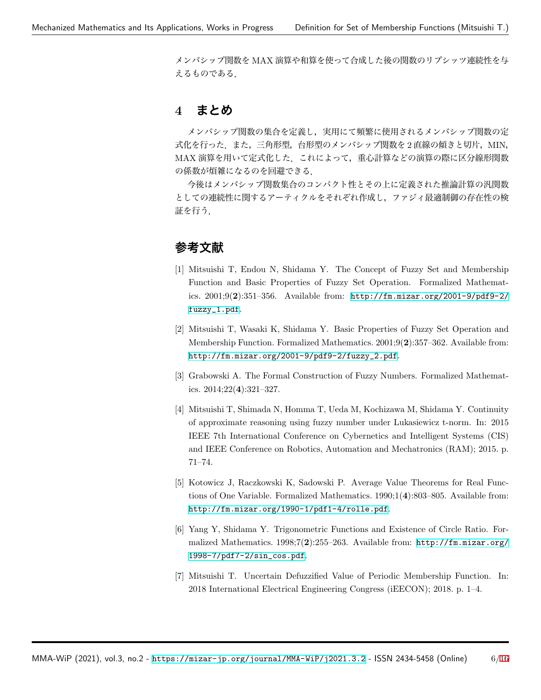メンバシップ関数を MAX 演算や和算を使って合成した後の関数のリプシッツ連続性を与 えるものである.

## **4 まとめ**

メンバシップ関数の集合を定義し、実用にて頻繁に使用されるメンバシップ関数の定 式化を行った.また,三角形型,台形型のメンバシップ関数を 2 直線の傾きと切片,MIN, MAX 演算を用いて定式化した.これによって,重心計算などの演算の際に区分線形関数 の係数が煩雑になるのを回避できる.

今後はメンバシップ関数集合のコンパクト性とその上に定義された推論計算の汎関数 としての連続性に関するアーティクルをそれぞれ作成し,ファジィ最適制御の存在性の検 証を行う.

## **参考文献**

- <span id="page-5-0"></span>[1] Mitsuishi T, Endou N, Shidama Y. The Concept of Fuzzy Set and Membership Function and Basic Properties of Fuzzy Set Operation. Formalized Mathematics. 2001;9(**2**):351–356. Available from: [http://fm.mizar.org/2001-9/pdf9-2/](http://fm.mizar.org/2001-9/pdf9-2/fuzzy_1.pdf) [fuzzy\\_1.pdf](http://fm.mizar.org/2001-9/pdf9-2/fuzzy_1.pdf).
- <span id="page-5-1"></span>[2] Mitsuishi T, Wasaki K, Shidama Y. Basic Properties of Fuzzy Set Operation and Membership Function. Formalized Mathematics. 2001;9(**2**):357–362. Available from: [http://fm.mizar.org/2001-9/pdf9-2/fuzzy\\_2.pdf](http://fm.mizar.org/2001-9/pdf9-2/fuzzy_2.pdf).
- <span id="page-5-2"></span>[3] Grabowski A. The Formal Construction of Fuzzy Numbers. Formalized Mathematics. 2014;22(**4**):321–327.
- <span id="page-5-3"></span>[4] Mitsuishi T, Shimada N, Homma T, Ueda M, Kochizawa M, Shidama Y. Continuity of approximate reasoning using fuzzy number under Lukasiewicz t-norm. In: 2015 IEEE 7th International Conference on Cybernetics and Intelligent Systems (CIS) and IEEE Conference on Robotics, Automation and Mechatronics (RAM); 2015. p. 71–74.
- <span id="page-5-4"></span>[5] Kotowicz J, Raczkowski K, Sadowski P. Average Value Theorems for Real Functions of One Variable. Formalized Mathematics. 1990;1(**4**):803–805. Available from: <http://fm.mizar.org/1990-1/pdf1-4/rolle.pdf>.
- <span id="page-5-5"></span>[6] Yang Y, Shidama Y. Trigonometric Functions and Existence of Circle Ratio. Formalized Mathematics. 1998;7(**2**):255–263. Available from: [http://fm.mizar.org/](http://fm.mizar.org/1998-7/pdf7-2/sin_cos.pdf) [1998-7/pdf7-2/sin\\_cos.pdf](http://fm.mizar.org/1998-7/pdf7-2/sin_cos.pdf).
- <span id="page-5-6"></span>[7] Mitsuishi T. Uncertain Defuzzified Value of Periodic Membership Function. In: 2018 International Electrical Engineering Congress (iEECON); 2018. p. 1–4.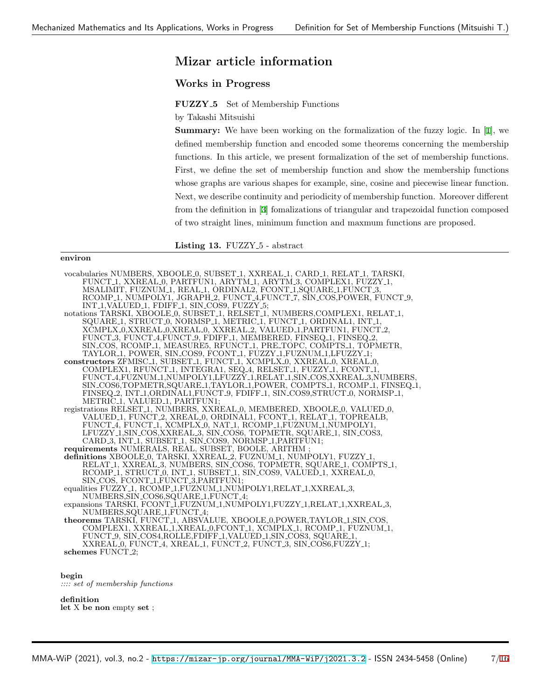## **Mizar article information**

### **Works in Progress**

**FUZZY 5** Set of Membership Functions

by Takashi Mitsuishi

**Summary:** We have been working on the formalization of the fuzzy logic. In [\[1](#page-5-0)], we defined membership function and encoded some theorems concerning the membership functions. In this article, we present formalization of the set of membership functions. First, we define the set of membership function and show the membership functions whose graphs are various shapes for example, sine, cosine and piecewise linear function. Next, we describe continuity and periodicity of membership function. Moreover different from the definition in [[3](#page-5-2)] fomalizations of triangular and trapezoidal function composed of two straight lines, minimum function and maxmum functions are proposed.

**Listing 13.** FUZZY 5 - abstract

#### **environ**

vocabularies NUMBERS, XBOOLE 0, SUBSET 1, XXREAL 1, CARD 1, RELAT 1, TARSKI, FUNCT 1, XXREAL 0, PARTFUN1, ARYTM 1, ARYTM 3, COMPLEX1, FUZZY 1, MSALIMIT, FUZNUM 1, REAL 1, ORDINAL2, FCONT 1,SQUARE 1,FUNCT 3, RCOMP 1, NUMPOLY1, JGRAPH 2, FUNCT 4,FUNCT 7, SIN COS,POWER, FUNCT 9, INT<sub>-1</sub>,VALUED<sub>-1</sub>, FDIFF<sub>-1</sub>, SIN<sub>-COS9</sub>, FUZZY<sub>-5</sub>; notations TARSKI, XBOOLE 0, SUBSET 1, RELSET 1, NUMBERS, COMPLEX1, RELAT 1, SQUARE 1, STRUCT 0, NORMSP 1, METRIC 1, FUNCT 1, ORDINAL1, INT 1, XCMPLX 0,XXREAL 0,XREAL 0, XXREAL 2, VALUED 1,PARTFUN1, FUNCT 2, FUNCT 3, FUNCT 4, FÚNCT 9, FDIFF 1, MEMBERED, FINSEQ 1, FINSEQ 2 SIN COS, RCOMP 1, MEASURE5, RFUNCT 1, PRE TOPC, COMPTS 1, TOPMETR, TAYLOR 1, POWER, SIN COS9, FCONT 1, FUZZY 1,FUZNUM 1,LFUZZY 1; **constructors** ZFMISC 1, SUBSET 1, FUNCT 1, XCMPLX 0, XXREAL 0, XREAL 0, COMPLEX1, RFUNCT 1, INTEGRA1, SEQ 4, RELSET 1, FUZZY 1, FCONT 1, FUNCT 4,FUZNUM 1,NUMPOLY1,LFUZZY 1,RELAT 1,SIN COS,XXREAL 3,NUMBERS, SIN COS6,TOPMETR,SQUARE 1,TAYLOR 1,POWER, COMPTS 1, RCOMP 1, FINSEQ 1, FINSEQ 2, INT 1,ORDINAL1,FUNCT 9, FDIFF 1, SIN COS9,STRUCT 0, NORMSP 1, METRIC<sub>-</sub>1, VALUED<sub>-</sub>1, PARTFUN1; registrations RELSET 1, NUMBERS, XXREAL 0, MEMBERED, XBOOLE 0, VALUED 0, VALUED 1, FUNCT 2, XREAL 0, ORDINAL1, FCONT 1, RELAT 1, TOPREALB, FUNCT 4, FUNCT 1, XCMPLX 0, NAT 1, RCOMP 1,FUZNUM 1,NUMPOLY1, LFUZZY 1,SIN COS,XXREAL 3, SIN COS6, TOPMETR, SQUARE 1, SIN COS3, CARD 3, INT 1, SUBSET 1, SIN COS9, NORMSP 1, PARTFUN1; **requirements** NUMERALS, REAL, SUBSET, BOOLE, ARITHM ; **definitions** XBOOLE 0, TARSKI, XXREAL 2, FUZNUM 1, NUMPOLY1, FUZZY 1, RELAT 1, XXREAL 3, NUMBERS, SIN COS6, TOPMETR, SQUARE 1, COMPTS 1, RCOMP 1, STRUCT 0, INT 1, SUBSET 1, SIN COS9, VALUED 1, XXREAL 0, SIN\_COS, FCONT\_1,FÚNCT\_3,PARTFUN1 equalities FUZZY 1, RCOMP 1, FUZNUM 1, NUMPOLY1, RELAT 1, XXREAL 3, NUMBERS,SIN COS6,SQUARE 1,FUNCT 4; expansions TARSKI, FCONT\_1,FUZNUM\_1,NUMPOLY1,FUZZY\_1,RELAT\_1,XXREAL\_3, NUMBERS,SQUARE 1,FUNCT 4; **theorems** TARSKI, FUNCT 1, ABSVALUE, XBOOLE 0,POWER,TAYLOR 1,SIN COS, COMPLEX1, XXREAL 1,XREAL 0,FCONT 1, XCMPLX 1, RCOMP 1, FUZNUM 1, FUNCT 9, SIN COS4,ROLLE,FDIFF 1,VALUED 1,SIN COS3, SQUARE 1, XXREAL 0, FUNCT 4, XREAL 1, FUNCT 2, FUNCT 3, SIN COS6,FUZZY 1; **schemes** FUNCT 2;

### **begin**

*:::: set of membership functions*

#### **definition**

**let** X **be non** empty **set** ;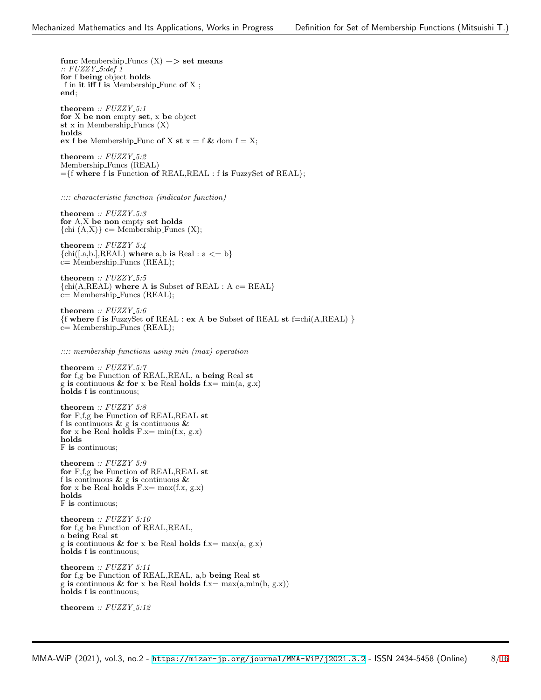**func** Membership Funcs (X) −*>* **set means** *:: FUZZY 5:def 1* **for** f **being** object **holds** f in **it iff** f **is** Membership Func **of** X ; **end**; **theorem** *:: FUZZY 5:1* **for** X **be non** empty **set**, x **be** object **st** x in Membership Funcs (X) **holds ex** f **be** Membership Func **of** X **st**  $x = f$  & dom  $f = X$ ; **theorem** *:: FUZZY 5:2* Membership Funcs (REAL) =*{*f **where** f **is** Function **of** REAL,REAL : f **is** FuzzySet **of** REAL*}*; *:::: characteristic function (indicator function)* **theorem** *:: FUZZY 5:3* **for** A,X **be non** empty **set holds**  $\{chi\}(A,X)\}$  c= Membership Funcs  $(X)$ ; **theorem** *:: FUZZY 5:4 {*chi([.a,b.],REAL) **where** a,b **is** Real : a *<*= b*}* c= Membership Funcs (REAL); **theorem** *:: FUZZY 5:5 {*chi(A,REAL) **where** A **is** Subset **of** REAL : A c= REAL*}* c= Membership Funcs (REAL); **theorem** *:: FUZZY 5:6 {*f **where** f **is** FuzzySet **of** REAL : **ex** A **be** Subset **of** REAL **st** f=chi(A,REAL) *}* c= Membership Funcs (REAL); *:::: membership functions using min (max) operation* **theorem** *:: FUZZY 5:7* **for** f,g **be** Function **of** REAL,REAL, a **being** Real **st** g **is** continuous **& for** x **be** Real **holds** f.x= min(a, g.x) **holds** f **is** continuous; **theorem** *:: FUZZY 5:8* **for** F,f,g **be** Function **of** REAL,REAL **st** f **is** continuous **&** g **is** continuous **& for** x **be** Real **holds** F.x= min(f.x, g.x) **holds** F **is** continuous; **theorem** *:: FUZZY 5:9* **for** F,f,g **be** Function **of** REAL,REAL **st** f **is** continuous **&** g **is** continuous **& for** x **be** Real **holds** F.x= max(f.x, g.x) **holds** F **is** continuous; **theorem** *:: FUZZY 5:10* **for** f,g **be** Function **of** REAL,REAL, a **being** Real **st** g **is** continuous **& for** x **be** Real **holds** f.x= max(a, g.x) **holds** f **is** continuous;

**theorem** *:: FUZZY 5:11* **for** f,g **be** Function **of** REAL,REAL, a,b **being** Real **st** g **is** continuous **& for** x **be** Real **holds** f.x= max(a,min(b, g.x)) **holds** f **is** continuous;

**theorem** *:: FUZZY 5:12*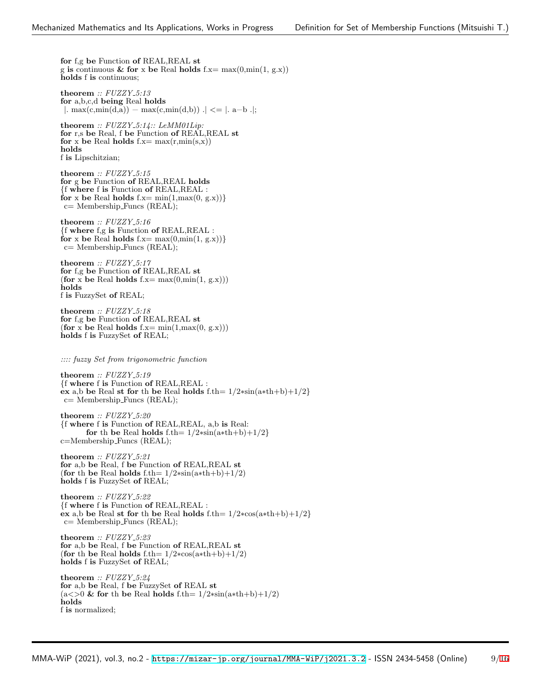**for** f,g **be** Function **of** REAL,REAL **st** g **is** continuous **& for** x **be** Real **holds** f.x= max(0,min(1, g.x)) **holds** f **is** continuous;

**theorem** *:: FUZZY 5:13* **for** a,b,c,d **being** Real **holds** *|*. max(c,min(d,a)) − max(c,min(d,b)) .*| <*= *|*. a−b .*|*;

**theorem** *:: FUZZY 5:14:: LeMM01Lip:* **for** r,s **be** Real, f **be** Function **of** REAL,REAL **st for** x be Real **holds**  $f.x = max(r,min(s,x))$ **holds** f **is** Lipschitzian;

**theorem** *:: FUZZY 5:15* **for** g **be** Function **of** REAL,REAL **holds** *{*f **where** f **is** Function **of** REAL,REAL : for x be Real holds  $f.x = min(1, max(0, g.x))$ c= Membership Funcs (REAL);

**theorem** *:: FUZZY 5:16 {*f **where** f,g **is** Function **of** REAL,REAL : for x be Real holds  $f.x = max(0, min(1, g.x))$ c= Membership Funcs (REAL);

**theorem** *:: FUZZY 5:17* **for** f,g **be** Function **of** REAL,REAL **st**  $($ for x be Real **holds** f.x= max $(0, min(1, g.x))$ **holds** f **is** FuzzySet **of** REAL;

**theorem** *:: FUZZY 5:18* **for** f,g **be** Function **of** REAL,REAL **st**  $($ for x be Real holds  $f.x = min(1, max(0, g.x)))$ **holds** f **is** FuzzySet **of** REAL;

*:::: fuzzy Set from trigonometric function*

**theorem** *:: FUZZY 5:19 {*f **where** f **is** Function **of** REAL,REAL : **ex** a,b **be** Real **st for** th **be** Real **holds** f.th= 1/2∗sin(a∗th+b)+1/2*}* c= Membership Funcs (REAL);

**theorem** *:: FUZZY 5:20 {*f **where** f **is** Function **of** REAL,REAL, a,b **is** Real: for th be Real holds f.th=  $1/2$ \*sin(a\*th+b)+ $1/2$ *}* c=Membership Funcs (REAL);

**theorem** *:: FUZZY 5:21* **for** a,b **be** Real, f **be** Function **of** REAL,REAL **st** (**for** th **be** Real **holds** f.th=  $1/2$ \*sin(a\*th+b)+1/2) **holds** f **is** FuzzySet **of** REAL;

**theorem** *:: FUZZY 5:22 {*f **where** f **is** Function **of** REAL,REAL : **ex** a,b **be** Real **st for** th **be** Real **holds** f.th= 1/2∗cos(a∗th+b)+1/2*}* c= Membership Funcs (REAL);

**theorem** *:: FUZZY 5:23* **for** a,b **be** Real, f **be** Function **of** REAL,REAL **st** (**for** th **be** Real **holds** f.th= 1/2∗cos(a∗th+b)+1/2) **holds** f **is** FuzzySet **of** REAL;

**theorem** *:: FUZZY 5:24* **for** a,b **be** Real, f **be** FuzzySet **of** REAL **st** (a*<>*0 **& for** th **be** Real **holds** f.th= 1/2∗sin(a∗th+b)+1/2) **holds** f **is** normalized;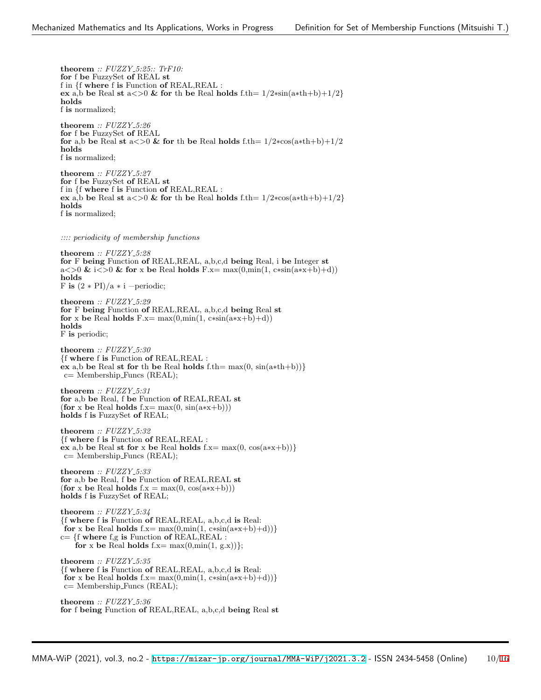**theorem** *:: FUZZY 5:25:: TrF10:* **for** f **be** FuzzySet **of** REAL **st** f in *{*f **where** f **is** Function **of** REAL,REAL : **ex** a,b be Real **st** a  $\lt$  > 0 **&** for th be Real holds f.th=  $1/2$ \*sin(a\*th+b)+1/2*}* **holds** f **is** normalized; **theorem** *:: FUZZY 5:26* **for** f **be** FuzzySet **of** REAL **for** a,b be Real **st** a  $\lt$  >0 & for th be Real holds f.th=  $1/2$ ∗cos(a∗th+b)+ $1/2$ **holds** f **is** normalized; **theorem** *:: FUZZY 5:27* **for** f **be** FuzzySet **of** REAL **st** f in *{*f **where** f **is** Function **of** REAL,REAL : **ex** a,b be Real **st** a  $\lt$  > 0 & for th be Real holds f.th=  $1/2$ ∗cos(a∗th+b)+ $1/2$ *}* **holds** f **is** normalized; *:::: periodicity of membership functions* **theorem** *:: FUZZY 5:28* **for** F **being** Function **of** REAL,REAL, a,b,c,d **being** Real, i **be** Integer **st** a $\langle \rangle$  a $\langle \rangle$  a $\langle \rangle$  a  $\langle \rangle$  **a** for x be Real holds F.x= max $(0, \min(1, \text{c} \cdot \sin(\text{a} \cdot \text{x} + \text{b}) + d))$ **holds** F is  $(2 * PI)/a * i$  –periodic; **theorem** *:: FUZZY 5:29* **for** F **being** Function **of** REAL,REAL, a,b,c,d **being** Real **st for** x be Real **holds**  $F.x = max(0, min(1, c*sin(a*x+b)+d))$ **holds** F **is** periodic; **theorem** *:: FUZZY 5:30 {*f **where** f **is** Function **of** REAL,REAL : **ex** a,b **be** Real **st for** th **be** Real **holds** f.th= max(0, sin(a∗th+b))*}* c= Membership Funcs (REAL); **theorem** *:: FUZZY 5:31* **for** a,b **be** Real, f **be** Function **of** REAL,REAL **st**  $($ for x be Real **holds** f.x= max $(0, \sin(a*x+b)))$ **holds** f **is** FuzzySet **of** REAL; **theorem** *:: FUZZY 5:32 {*f **where** f **is** Function **of** REAL,REAL :  $\vec{e}$ **x** a,b be Real **st for** x be Real **holds** f.x= max $(0, \cos(a*x+b))$ } c= Membership Funcs (REAL); **theorem** *:: FUZZY 5:33* **for** a,b **be** Real, f **be** Function **of** REAL,REAL **st**  $(for x be Real holds f.x = max(0, cos(a*x+b)))$ **holds** f **is** FuzzySet **of** REAL; **theorem** *:: FUZZY 5:34 {*f **where** f **is** Function **of** REAL,REAL, a,b,c,d **is** Real: for x be Real holds  $f.x = max(0, min(1, c*sin(a*x+b)+d))$ c= *{*f **where** f,g **is** Function **of** REAL,REAL : for x be Real holds  $f.x = max(0, min(1, g.x))$ ; **theorem** *:: FUZZY 5:35 {*f **where** f **is** Function **of** REAL,REAL, a,b,c,d **is** Real: for x be Real holds  $f.x = max(0, min(1, c*sin(a*x+b)+d))$ c= Membership Funcs (REAL); **theorem** *:: FUZZY 5:36* **for** f **being** Function **of** REAL,REAL, a,b,c,d **being** Real **st**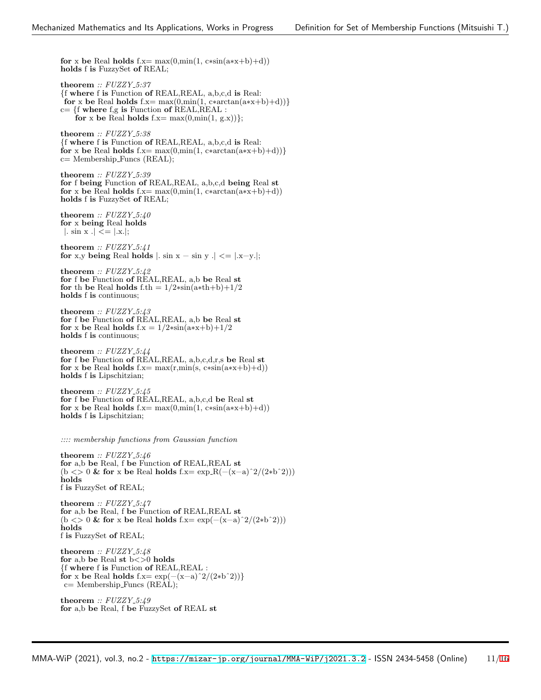**for** x be Real **holds** f.x= max $(0, \min(1, \text{c}*\sin(\text{a}*\text{x}+\text{b})+\text{d}))$ **holds** f **is** FuzzySet **of** REAL;

**theorem** *:: FUZZY 5:37 {*f **where** f **is** Function **of** REAL,REAL, a,b,c,d **is** Real: for x be Real holds  $f.x = max(0, min(1, c*arctan(a*x+b)+d))$ c= *{*f **where** f,g **is** Function **of** REAL,REAL : for x be Real holds  $f.x = max(0, min(1, g.x))$ ;

**theorem** *:: FUZZY 5:38 {*f **where** f **is** Function **of** REAL,REAL, a,b,c,d **is** Real: for x be Real holds f.x= max $(0, \min(1, \text{c}*\arctan(\text{a}*\text{x}+\text{b})+\text{d}))$ c= Membership Funcs (REAL);

**theorem** *:: FUZZY 5:39* **for** f **being** Function **of** REAL,REAL, a,b,c,d **being** Real **st for** x be Real **holds**  $f.x = max(0, min(1, c*arctan(a*x+b)+d))$ **holds** f **is** FuzzySet **of** REAL;

**theorem** *:: FUZZY 5:40* **for** x **being** Real **holds** *|*. sin x .*| <*= *|*.x.*|*;

**theorem** *:: FUZZY 5:41* **for** x,y **being** Real **holds**  $\vert \cdot \sin x - \sin y \cdot \vert \cdot \vert = \vert \cdot \vert x - y \cdot \vert$ ;

**theorem** *:: FUZZY 5:42* **for** f **be** Function **of** REAL,REAL, a,b **be** Real **st for** th **be** Real **holds** f.th =  $1/2$ \*sin(a\*th+b)+1/2 **holds** f **is** continuous;

**theorem** *:: FUZZY 5:43* **for** f **be** Function **of** REAL,REAL, a,b **be** Real **st for** x **be** Real **holds**  $f.x = 1/2 * sin(a*x+b)+1/2$ **holds** f **is** continuous;

**theorem** *:: FUZZY 5:44* **for** f **be** Function **of** REAL,REAL, a,b,c,d,r,s **be** Real **st for** x be Real **holds** f.x= max $(r, min(s, c*sin(a*x+b)+d))$ **holds** f **is** Lipschitzian;

**theorem** *:: FUZZY 5:45* **for** f **be** Function **of** REAL,REAL, a,b,c,d **be** Real **st for** x be Real **holds** f.x= max $(0, min(1, c*sin(a*x+b)+d))$ **holds** f **is** Lipschitzian;

*:::: membership functions from Gaussian function*

**theorem** *:: FUZZY 5:46* **for** a,b **be** Real, f **be** Function **of** REAL,REAL **st** (b *<>* 0 **& for** x **be** Real **holds** f.x= exp R(−(x−a)ˆ2/(2∗bˆ2))) **holds** f **is** FuzzySet **of** REAL;

**theorem** *:: FUZZY 5:47* **for** a,b **be** Real, f **be** Function **of** REAL,REAL **st** (b *<>* 0 **& for** x **be** Real **holds** f.x= exp(−(x−a)ˆ2/(2∗bˆ2))) **holds** f **is** FuzzySet **of** REAL;

**theorem** *:: FUZZY 5:48* **for** a,b **be** Real **st** b*<>*0 **holds** *{*f **where** f **is** Function **of** REAL,REAL :  $\textbf{for } x \textbf{ be Real holds } f.x = \exp(-(x-a)^2/(2*b^2))$ c= Membership Funcs (REAL);

**theorem** *:: FUZZY 5:49* **for** a,b **be** Real, f **be** FuzzySet **of** REAL **st**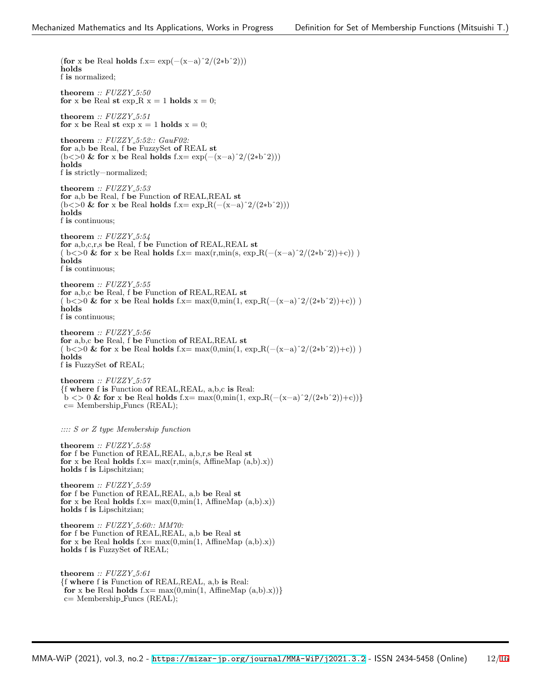(**for** x **be** Real **holds** f.x= exp(−(x−a)ˆ2/(2∗bˆ2))) **holds** f **is** normalized; **theorem** *:: FUZZY 5:50* **for** x **be** Real **st** exp R  $x = 1$  **holds**  $x = 0$ ; **theorem** *:: FUZZY 5:51* **for** x be Real **st** exp  $x = 1$  **holds**  $x = 0$ ; **theorem** *:: FUZZY 5:52:: GauF02:* **for** a,b **be** Real, f **be** FuzzySet **of** REAL **st** (b*<>*0 **& for** x **be** Real **holds** f.x= exp(−(x−a)ˆ2/(2∗bˆ2))) **holds** f **is** strictly−normalized; **theorem** *:: FUZZY 5:53* **for** a,b **be** Real, f **be** Function **of** REAL,REAL **st** (b*<>*0 **& for** x **be** Real **holds** f.x= exp R(−(x−a)ˆ2/(2∗bˆ2))) **holds** f **is** continuous; **theorem** *:: FUZZY 5:54* **for** a,b,c,r,s **be** Real, f **be** Function **of** REAL,REAL **st** ( b*<>*0 **& for** x **be** Real **holds** f.x= max(r,min(s, exp R(−(x−a)ˆ2/(2∗bˆ2))+c)) ) **holds** f **is** continuous; **theorem** *:: FUZZY 5:55* **for** a,b,c **be** Real, f **be** Function **of** REAL,REAL **st** ( b*<>*0 **& for** x **be** Real **holds** f.x= max(0,min(1, exp R(−(x−a)ˆ2/(2∗bˆ2))+c)) ) **holds** f **is** continuous; **theorem** *:: FUZZY 5:56* **for** a,b,c **be** Real, f **be** Function **of** REAL,REAL **st** ( b*<>*0 **& for** x **be** Real **holds** f.x= max(0,min(1, exp R(−(x−a)ˆ2/(2∗bˆ2))+c)) ) **holds** f **is** FuzzySet **of** REAL; **theorem** *:: FUZZY 5:57 {*f **where** f **is** Function **of** REAL,REAL, a,b,c **is** Real:  $\mathbf{b}$  <> 0 **& for** x **be** Real **holds** f.x= max(0,min(1, exp R(−(x−a)<sup> $\gamma$ 2/(2\*b<sup> $\gamma$ </sup>2))+c))<sup>}</sup></sup> c= Membership Funcs (REAL); *:::: S or Z type Membership function* **theorem** *:: FUZZY 5:58* **for** f **be** Function **of** REAL,REAL, a,b,r,s **be** Real **st for** x be Real **holds**  $f.x = max(r, min(s, AffineMap(a,b).x))$ **holds** f **is** Lipschitzian; **theorem** *:: FUZZY 5:59* **for** f **be** Function **of** REAL,REAL, a,b **be** Real **st for** x be Real **holds**  $f.x = max(0, min(1, AffineMap(a,b).x))$ **holds** f **is** Lipschitzian; **theorem** *:: FUZZY 5:60:: MM70:* **for** f **be** Function **of** REAL,REAL, a,b **be** Real **st for** x be Real **holds**  $f.x = max(0, min(1, AffineMap(a,b).x))$ **holds** f **is** FuzzySet **of** REAL; **theorem** *:: FUZZY 5:61 {*f **where** f **is** Function **of** REAL,REAL, a,b **is** Real: **for** x be Real holds  $f.x = max(0, min(1, AffineMap(a,b).x))$ c= Membership Funcs (REAL);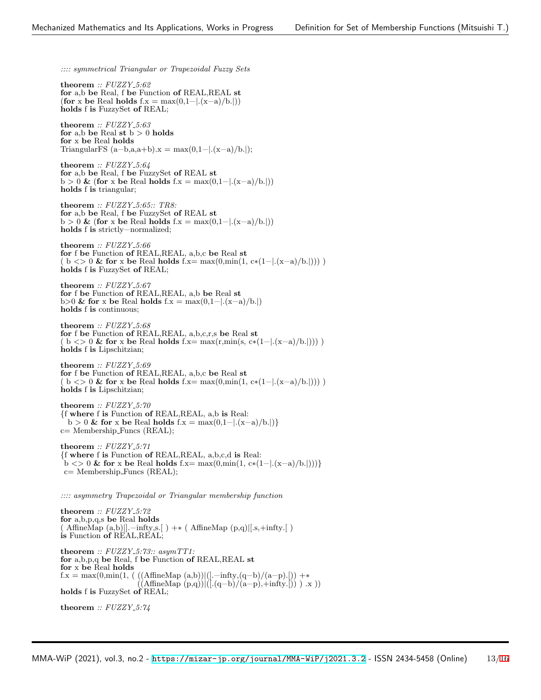*:::: symmetrical Triangular or Trapezoidal Fuzzy Sets*

**theorem** *:: FUZZY 5:62* **for** a,b **be** Real, f **be** Function **of** REAL,REAL **st** (**for** x **be** Real **holds** f.x = max(0,1−*|*.(x−a)/b.*|*)) **holds** f **is** FuzzySet **of** REAL;

**theorem** *:: FUZZY 5:63* **for** a,b **be** Real **st**  $b > 0$  **holds for** x **be** Real **holds** TriangularFS  $(a-b,a,a+b)x = max(0,1-|(x-a)/b.|);$ 

**theorem** *:: FUZZY 5:64* **for** a,b **be** Real, f **be** FuzzySet **of** REAL **st** b *>* 0 **&** (**for** x **be** Real **holds** f.x = max(0,1−*|*.(x−a)/b.*|*)) **holds** f **is** triangular;

**theorem** *:: FUZZY 5:65:: TR8:* **for** a,b **be** Real, f **be** FuzzySet **of** REAL **st** b *>* 0 **&** (**for** x **be** Real **holds** f.x = max(0,1−*|*.(x−a)/b.*|*)) **holds** f **is** strictly−normalized;

**theorem** *:: FUZZY 5:66* **for** f **be** Function **of** REAL,REAL, a,b,c **be** Real **st** ( b *<>* 0 **& for** x **be** Real **holds** f.x= max(0,min(1, c∗(1−*|*.(x−a)/b.*|*))) ) **holds** f **is** FuzzySet **of** REAL;

**theorem** *:: FUZZY 5:67* **for** f **be** Function **of** REAL,REAL, a,b **be** Real **st** b*>*0 **& for** x **be** Real **holds** f.x = max(0,1−*|*.(x−a)/b.*|*) **holds** f **is** continuous;

**theorem** *:: FUZZY 5:68* **for** f **be** Function **of** REAL,REAL, a,b,c,r,s **be** Real **st** ( b *<>* 0 **& for** x **be** Real **holds** f.x= max(r,min(s, c∗(1−*|*.(x−a)/b.*|*))) ) **holds** f **is** Lipschitzian;

**theorem** *:: FUZZY 5:69* **for** f **be** Function **of** REAL,REAL, a,b,c **be** Real **st** ( b *<>* 0 **& for** x **be** Real **holds** f.x= max(0,min(1, c∗(1−*|*.(x−a)/b.*|*))) ) **holds** f **is** Lipschitzian;

**theorem** *:: FUZZY 5:70 {*f **where** f **is** Function **of** REAL,REAL, a,b **is** Real: b *>* 0 **& for** x **be** Real **holds** f.x = max(0,1−*|*.(x−a)/b.*|*)*}* c= Membership Funcs (REAL);

**theorem** *:: FUZZY 5:71 {*f **where** f **is** Function **of** REAL,REAL, a,b,c,d **is** Real: b *<>* 0 **& for** x **be** Real **holds** f.x= max(0,min(1, c∗(1−*|*.(x−a)/b.*|*)))*}* c= Membership Funcs (REAL);

*:::: asymmetry Trapezoidal or Triangular membership function*

**theorem** *:: FUZZY 5:72* **for** a,b,p,q,s **be** Real **holds** ( AffineMap (a,b)*|*].−infty,s.[ ) +∗ ( AffineMap (p,q)*|*[.s,+infty.[ ) **is** Function **of** REAL,REAL; **theorem** *:: FUZZY 5:73:: asymTT1:* **for** a,b,p,q **be** Real, f **be** Function **of** REAL,REAL **st for** x **be** Real **holds** f.x = max $(0,\min(1, (((AffineMap (a,b)))().-\infty, (q-b)/(a-p).)))$  +\* ((AffineMap (p,q))*|*([.(q−b)/(a−p),+infty.[)) ) .x )) **holds** f **is** FuzzySet **of** REAL;

**theorem** *:: FUZZY 5:74*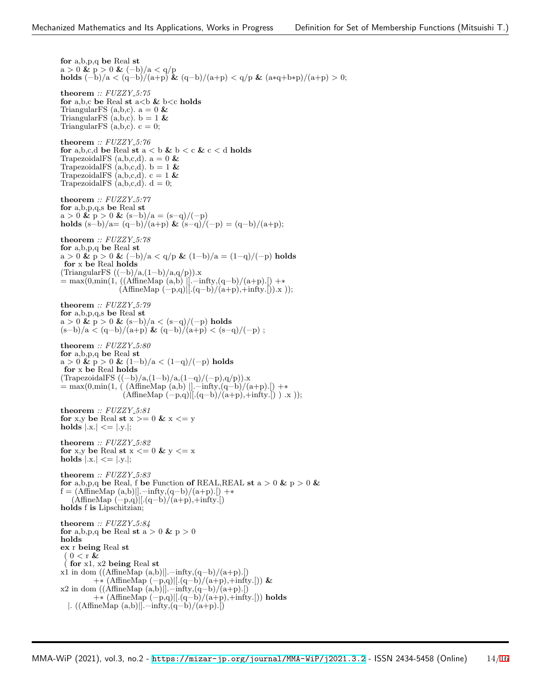**for** a,b,p,q **be** Real **st**  $a > 0$  &  $p > 0$  &  $(-b)/a < q/p$ **holds**  $(-b)/a < (q-b)/(a+p)$  **&**  $(q-b)/(a+p) < q/p$  **&**  $(a*q+b*p)/(a+p) > 0;$ **theorem** *:: FUZZY 5:75* **for** a,b,c **be** Real **st** a*<*b **&** b*<*c **holds** TriangularFS (a,b,c).  $a=0$   $\&$ TriangularFS  $(a, b, c)$ .  $b = 1$  & TriangularFS  $(a,b,c)$ .  $c = 0$ ; **theorem** *:: FUZZY 5:76* for a,b,c,d be Real st  $a < b$  &  $b < c$  &  $c < d$  holds TrapezoidalFS  $(a,b,c,d)$ .  $a = 0$  & TrapezoidalFS  $(a,b,c,d)$ .  $b = 1$  & TrapezoidalFS  $(a, b, c, d)$ .  $c = 1$  & TrapezoidalFS  $(a,b,c,d)$ .  $d = 0$ ; **theorem** *:: FUZZY 5:77* **for** a,b,p,q,s **be** Real **st**  $a > 0$  &  $p > 0$  &  $(s-b)/a = (s-q)/(-p)$ **holds**  $(s−b)/a = (q−b)/(a+p)$  **&**  $(s−q)/(-p) = (q−b)/(a+p);$ **theorem** *:: FUZZY 5:78* **for** a,b,p,q **be** Real **st** a *>* 0 **&** p *>* 0 **&** (−b)/a *<* q/p **&** (1−b)/a = (1−q)/(−p) **holds for** x **be** Real **holds** (TriangularFS  $((-b)/a,(1-b)/a,q/p)$ ).x = max(0,min(1, ((AffineMap (a,b) *|*].−infty,(q−b)/(a+p).[) +∗ (AffineMap (−p,q)*|*[.(q−b)/(a+p),+infty.[)).x )); **theorem** *:: FUZZY 5:79* **for** a,b,p,q,s **be** Real **st** a *>* 0 **&** p *>* 0 **&** (s−b)/a *<* (s−q)/(−p) **holds** (s−b)/a *<* (q−b)/(a+p) **&** (q−b)/(a+p) *<* (s−q)/(−p) ; **theorem** *:: FUZZY 5:80* **for** a,b,p,q **be** Real **st** a *>* 0 **&** p *>* 0 **&** (1−b)/a *<* (1−q)/(−p) **holds for** x **be** Real **holds** (TrapezoidalFS ((−b)/a,(1−b)/a,(1−q)/(−p),q/p)).x = max(0,min(1, ( (AffineMap (a,b) *|*].−infty,(q−b)/(a+p).[) +∗ (AffineMap (−p,q)*|*[.(q−b)/(a+p),+infty.[) ) .x )); **theorem** *:: FUZZY 5:81* **for** x,y **be** Real **st** x *>*= 0 **&** x *<*= y **holds** *|*.x.*| <*= *|*.y.*|*; **theorem** *:: FUZZY 5:82* for x,y be Real  $\mathbf{st}$  x  $<=0$  & y  $<=$  x **holds**  $|x| \le |y|$ ; **theorem** *:: FUZZY 5:83* **for** a,b,p,q be Real, f be Function of REAL,REAL st  $a > 0$  &  $p > 0$  &  $f = (AffineMap(a,b)||.-infty,(q-b)/(a+p).])$  +\* (AffineMap (−p,q)*|*[.(q−b)/(a+p),+infty.[) **holds** f **is** Lipschitzian; **theorem** *:: FUZZY 5:84* for a,b,p,q be Real st  $a > 0$  &  $p > 0$ **holds ex** r **being** Real **st** ( 0 *<* r **&** ( **for** x1, x2 **being** Real **st** x1 in dom ((AffineMap (a,b)*|*].−infty,(q−b)/(a+p).[) +∗ (AffineMap (−p,q)*|*[.(q−b)/(a+p),+infty.[)) **&** x2 in dom ((AffineMap (a,b)*|*].−infty,(q−b)/(a+p).[) +∗ (AffineMap (−p,q)*|*[.(q−b)/(a+p),+infty.[)) **holds** *|*. ((AffineMap (a,b)*|*].−infty,(q−b)/(a+p).[)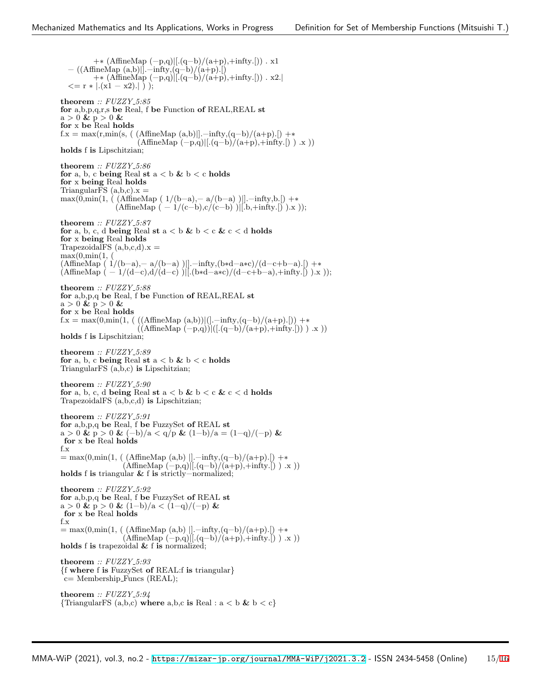+∗ (AffineMap (−p,q)*|*[.(q−b)/(a+p),+infty.[)) . x1 − ((AffineMap (a,b)*|*].−infty,(q−b)/(a+p).[) +∗ (AffineMap (−p,q)*|*[.(q−b)/(a+p),+infty.[)) . x2.*| <*= r ∗ *|*.(x1 − x2).*|* ) ); **theorem** *:: FUZZY 5:85* **for** a,b,p,q,r,s **be** Real, f **be** Function **of** REAL,REAL **st** a *>* 0 **&** p *>* 0 **& for** x **be** Real **holds**  $f.x = \max(r, \min(s, (AffineMap(a,b))]-\inf(y,(q-b)/(a+p).])$  +\* (AffineMap (−p,q)*|*[.(q−b)/(a+p),+infty.[) ) .x )) **holds** f **is** Lipschitzian; **theorem** *:: FUZZY 5:86* **for** a, b, c **being** Real **st**  $a < b \& b < c$  **holds for** x **being** Real **holds** TriangularFS  $(a,b,c)x =$ max(0,min(1, ( (AffineMap ( 1/(b−a),− a/(b−a) )*|*].−infty,b.[) +∗  $(AffineMap (-1/(c-b), c/(c-b) )$ <sup>[[.b</sup>,+infty.[) ).x )); **theorem** *:: FUZZY 5:87* **for** a, b, c, d **being** Real **st**  $a < b \& b < c \& c < d$  **holds for** x **being** Real **holds** TrapezoidalFS  $(a,b,c,d)x =$  $max(0, \min(1,$ (AffineMap ( 1/(b−a),− a/(b−a) )*|*].−infty,(b∗d−a∗c)/(d−c+b−a).[) +∗  $(AffineMap (-1/(d-c),d/(d-c))$ <sup>[[.</sup>(b\*d−a\*c)/(d−c+b−a),+infty.<sup>[2</sup>).x )); **theorem** *:: FUZZY 5:88* **for** a,b,p,q **be** Real, f **be** Function **of** REAL,REAL **st**  $a > 0$  &  $p > 0$  & **for** x **be** Real **holds** f.x = max $(0, \min(1, (((AffineMap (a,b)))(]-infty,(q-b)/(a+p).]))$  +\* ((AffineMap (−p,q))*|*([.(q−b)/(a+p),+infty.[)) ) .x )) **holds** f **is** Lipschitzian; **theorem** *:: FUZZY 5:89* for a, b, c being Real st  $a < b$  &  $b < c$  holds TriangularFS (a,b,c) **is** Lipschitzian; **theorem** *:: FUZZY 5:90* **for** a, b, c, d **being** Real **st** a *<* b **&** b *<* c **&** c *<* d **holds** TrapezoidalFS (a,b,c,d) **is** Lipschitzian; **theorem** *:: FUZZY 5:91* **for** a,b,p,q **be** Real, f **be** FuzzySet **of** REAL **st** a *>* 0 **&** p *>* 0 **&** (−b)/a *<* q/p **&** (1−b)/a = (1−q)/(−p) **& for** x **be** Real **holds** f.x = max(0,min(1, ( (AffineMap (a,b) *|*].−infty,(q−b)/(a+p).[) +∗ (AffineMap (−p,q)*|*[.(q−b)/(a+p),+infty.[) ) .x )) **holds** f **is** triangular **&** f **is** strictly−normalized; **theorem** *:: FUZZY 5:92* **for** a,b,p,q **be** Real, f **be** FuzzySet **of** REAL **st** a *>* 0 **&** p *>* 0 **&** (1−b)/a *<* (1−q)/(−p) **& for** x **be** Real **holds** f.x = max(0,min(1, ( (AffineMap (a,b) *|*].−infty,(q−b)/(a+p).[) +∗ (AffineMap (−p,q)*|*[.(q−b)/(a+p),+infty.[) ) .x )) **holds** f **is** trapezoidal **&** f **is** normalized; **theorem** *:: FUZZY 5:93 {*f **where** f **is** FuzzySet **of** REAL:f **is** triangular*}* c= Membership Funcs (REAL); **theorem** *:: FUZZY 5:94 {*TriangularFS (a,b,c) **where** a,b,c **is** Real : a *<* b **&** b *<* c*}*